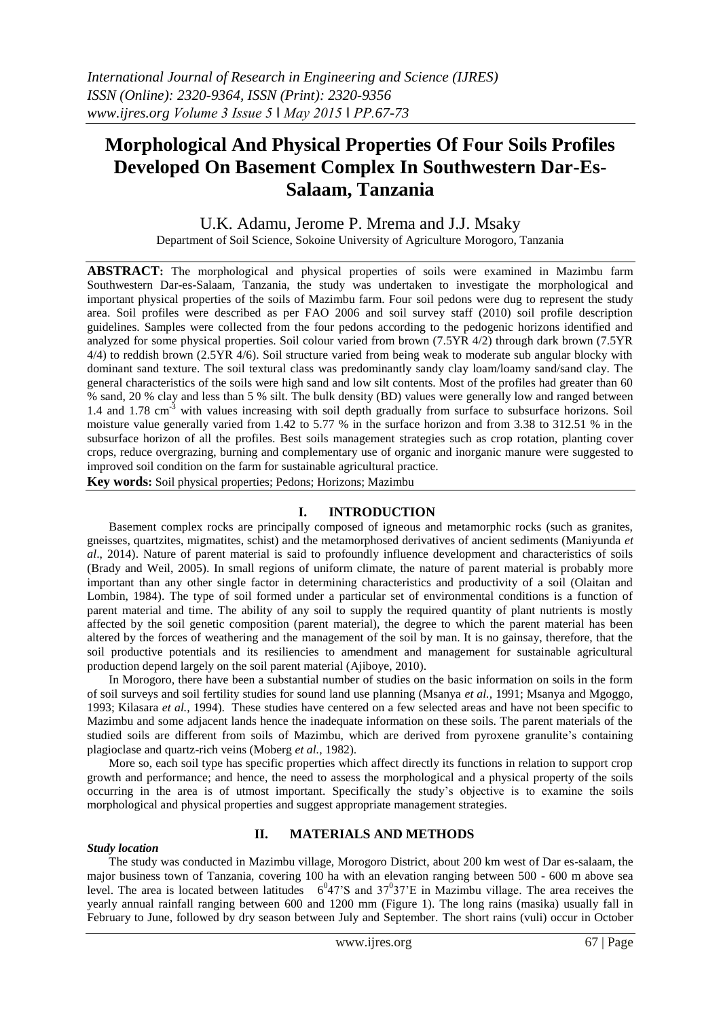# **Morphological And Physical Properties Of Four Soils Profiles Developed On Basement Complex In Southwestern Dar-Es-Salaam, Tanzania**

# U.K. Adamu, Jerome P. Mrema and J.J. Msaky

Department of Soil Science, Sokoine University of Agriculture Morogoro, Tanzania

**ABSTRACT:** The morphological and physical properties of soils were examined in Mazimbu farm Southwestern Dar-es-Salaam, Tanzania, the study was undertaken to investigate the morphological and important physical properties of the soils of Mazimbu farm. Four soil pedons were dug to represent the study area. Soil profiles were described as per FAO 2006 and soil survey staff (2010) soil profile description guidelines. Samples were collected from the four pedons according to the pedogenic horizons identified and analyzed for some physical properties. Soil colour varied from brown (7.5YR 4/2) through dark brown (7.5YR 4/4) to reddish brown (2.5YR 4/6). Soil structure varied from being weak to moderate sub angular blocky with dominant sand texture. The soil textural class was predominantly sandy clay loam/loamy sand/sand clay. The general characteristics of the soils were high sand and low silt contents. Most of the profiles had greater than 60 % sand, 20 % clay and less than 5 % silt. The bulk density (BD) values were generally low and ranged between 1.4 and 1.78 cm<sup>-3</sup> with values increasing with soil depth gradually from surface to subsurface horizons. Soil moisture value generally varied from 1.42 to 5.77 % in the surface horizon and from 3.38 to 312.51 % in the subsurface horizon of all the profiles. Best soils management strategies such as crop rotation, planting cover crops, reduce overgrazing, burning and complementary use of organic and inorganic manure were suggested to improved soil condition on the farm for sustainable agricultural practice.

**Key words:** Soil physical properties; Pedons; Horizons; Mazimbu

## **I. INTRODUCTION**

Basement complex rocks are principally composed of igneous and metamorphic rocks (such as granites, gneisses, quartzites, migmatites, schist) and the metamorphosed derivatives of ancient sediments (Maniyunda *et al*., 2014). Nature of parent material is said to profoundly influence development and characteristics of soils (Brady and Weil, 2005). In small regions of uniform climate, the nature of parent material is probably more important than any other single factor in determining characteristics and productivity of a soil (Olaitan and Lombin, 1984). The type of soil formed under a particular set of environmental conditions is a function of parent material and time. The ability of any soil to supply the required quantity of plant nutrients is mostly affected by the soil genetic composition (parent material), the degree to which the parent material has been altered by the forces of weathering and the management of the soil by man. It is no gainsay, therefore, that the soil productive potentials and its resiliencies to amendment and management for sustainable agricultural production depend largely on the soil parent material (Ajiboye, 2010).

In Morogoro, there have been a substantial number of studies on the basic information on soils in the form of soil surveys and soil fertility studies for sound land use planning (Msanya *et al.,* 1991; Msanya and Mgoggo, 1993; Kilasara *et al.,* 1994). These studies have centered on a few selected areas and have not been specific to Mazimbu and some adjacent lands hence the inadequate information on these soils. The parent materials of the studied soils are different from soils of Mazimbu, which are derived from pyroxene granulite's containing plagioclase and quartz-rich veins (Moberg *et al.,* 1982).

More so, each soil type has specific properties which affect directly its functions in relation to support crop growth and performance; and hence, the need to assess the morphological and a physical property of the soils occurring in the area is of utmost important. Specifically the study's objective is to examine the soils morphological and physical properties and suggest appropriate management strategies.

#### *Study location*

## **II. MATERIALS AND METHODS**

The study was conducted in Mazimbu village, Morogoro District, about 200 km west of Dar es-salaam, the major business town of Tanzania, covering 100 ha with an elevation ranging between 500 - 600 m above sea level. The area is located between latitudes  $6^{0}47$ 'S and  $37^{0}37$ 'E in Mazimbu village. The area receives the yearly annual rainfall ranging between 600 and 1200 mm (Figure 1). The long rains (masika) usually fall in February to June, followed by dry season between July and September. The short rains (vuli) occur in October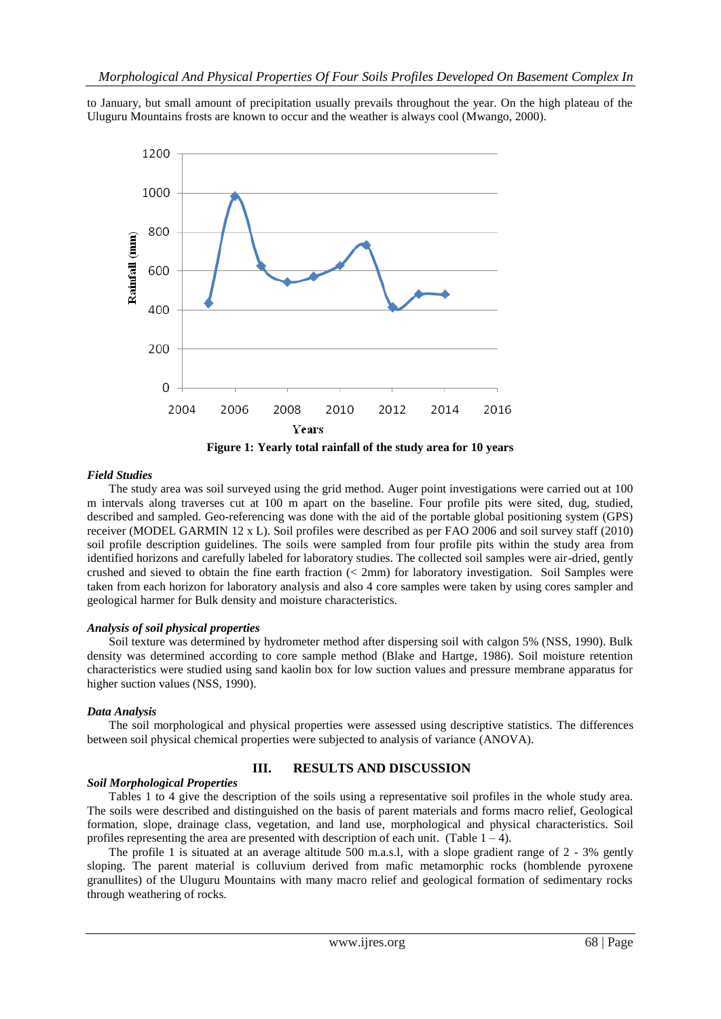to January, but small amount of precipitation usually prevails throughout the year. On the high plateau of the Uluguru Mountains frosts are known to occur and the weather is always cool (Mwango, 2000).



*Field Studies*

The study area was soil surveyed using the grid method. Auger point investigations were carried out at 100 m intervals along traverses cut at 100 m apart on the baseline. Four profile pits were sited, dug, studied, described and sampled. Geo-referencing was done with the aid of the portable global positioning system (GPS) receiver (MODEL GARMIN 12 x L). Soil profiles were described as per FAO 2006 and soil survey staff (2010) soil profile description guidelines. The soils were sampled from four profile pits within the study area from identified horizons and carefully labeled for laboratory studies. The collected soil samples were air-dried, gently crushed and sieved to obtain the fine earth fraction (< 2mm) for laboratory investigation. Soil Samples were taken from each horizon for laboratory analysis and also 4 core samples were taken by using cores sampler and geological harmer for Bulk density and moisture characteristics.

#### *Analysis of soil physical properties*

Soil texture was determined by hydrometer method after dispersing soil with calgon 5% (NSS, 1990). Bulk density was determined according to core sample method (Blake and Hartge, 1986). Soil moisture retention characteristics were studied using sand kaolin box for low suction values and pressure membrane apparatus for higher suction values (NSS, 1990).

#### *Data Analysis*

The soil morphological and physical properties were assessed using descriptive statistics. The differences between soil physical chemical properties were subjected to analysis of variance (ANOVA).

#### *Soil Morphological Properties*

#### **III. RESULTS AND DISCUSSION**

Tables 1 to 4 give the description of the soils using a representative soil profiles in the whole study area. The soils were described and distinguished on the basis of parent materials and forms macro relief, Geological formation, slope, drainage class, vegetation, and land use, morphological and physical characteristics. Soil profiles representing the area are presented with description of each unit. (Table  $1 - 4$ ).

The profile 1 is situated at an average altitude 500 m.a.s.l, with a slope gradient range of 2 - 3% gently sloping. The parent material is colluvium derived from mafic metamorphic rocks (homblende pyroxene granullites) of the Uluguru Mountains with many macro relief and geological formation of sedimentary rocks through weathering of rocks.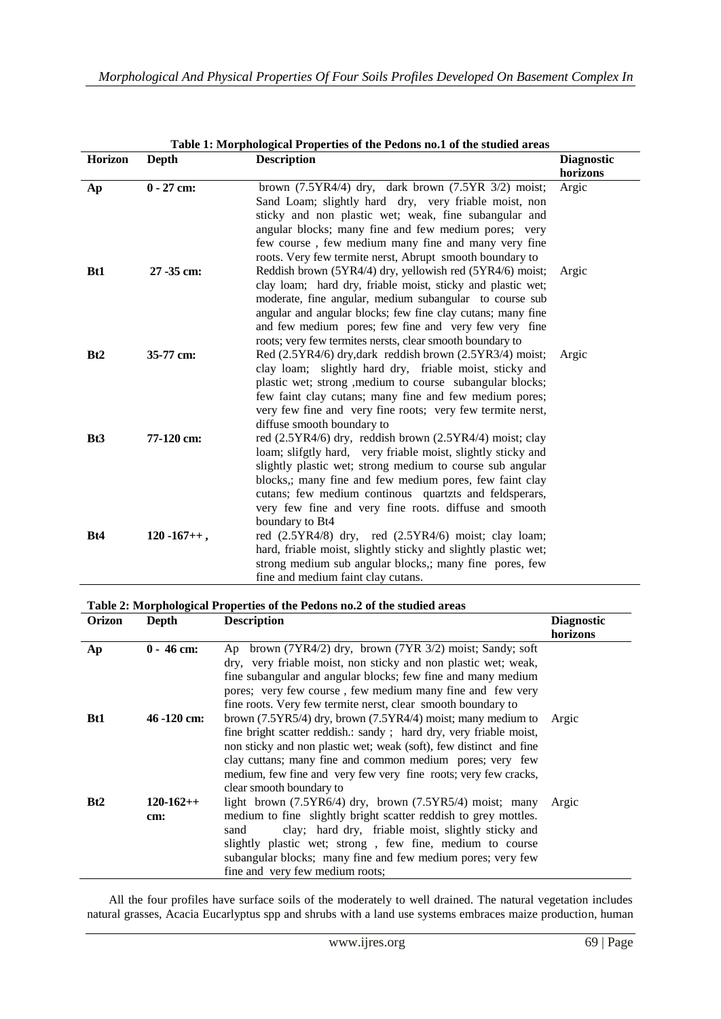| Table 1: Morphological Properties of the Pedons no.1 of the studied areas |                   |                                                                                                                        |                   |  |  |  |  |  |
|---------------------------------------------------------------------------|-------------------|------------------------------------------------------------------------------------------------------------------------|-------------------|--|--|--|--|--|
| Horizon                                                                   | Depth             | <b>Description</b>                                                                                                     | <b>Diagnostic</b> |  |  |  |  |  |
|                                                                           |                   |                                                                                                                        | horizons          |  |  |  |  |  |
| Ap                                                                        | $0 - 27$ cm:      | brown $(7.5YR4/4)$ dry, dark brown $(7.5YR 3/2)$ moist;                                                                | Argic             |  |  |  |  |  |
|                                                                           |                   | Sand Loam; slightly hard dry, very friable moist, non                                                                  |                   |  |  |  |  |  |
|                                                                           |                   | sticky and non plastic wet; weak, fine subangular and                                                                  |                   |  |  |  |  |  |
|                                                                           |                   | angular blocks; many fine and few medium pores; very                                                                   |                   |  |  |  |  |  |
|                                                                           |                   | few course, few medium many fine and many very fine                                                                    |                   |  |  |  |  |  |
|                                                                           |                   | roots. Very few termite nerst, Abrupt smooth boundary to                                                               |                   |  |  |  |  |  |
| <b>Bt1</b>                                                                | 27 -35 cm:        | Reddish brown (5YR4/4) dry, yellowish red (5YR4/6) moist;                                                              | Argic             |  |  |  |  |  |
|                                                                           |                   | clay loam; hard dry, friable moist, sticky and plastic wet;                                                            |                   |  |  |  |  |  |
|                                                                           |                   | moderate, fine angular, medium subangular to course sub                                                                |                   |  |  |  |  |  |
|                                                                           |                   | angular and angular blocks; few fine clay cutans; many fine                                                            |                   |  |  |  |  |  |
|                                                                           |                   | and few medium pores; few fine and very few very fine                                                                  |                   |  |  |  |  |  |
|                                                                           |                   | roots; very few termites nersts, clear smooth boundary to                                                              |                   |  |  |  |  |  |
| Bt2                                                                       | 35-77 cm:         | Red (2.5YR4/6) dry, dark reddish brown (2.5YR3/4) moist;                                                               | Argic             |  |  |  |  |  |
|                                                                           |                   | clay loam; slightly hard dry, friable moist, sticky and                                                                |                   |  |  |  |  |  |
|                                                                           |                   | plastic wet; strong , medium to course subangular blocks;                                                              |                   |  |  |  |  |  |
|                                                                           |                   | few faint clay cutans; many fine and few medium pores;                                                                 |                   |  |  |  |  |  |
|                                                                           |                   | very few fine and very fine roots; very few termite nerst,                                                             |                   |  |  |  |  |  |
|                                                                           |                   | diffuse smooth boundary to                                                                                             |                   |  |  |  |  |  |
| Bt <sub>3</sub>                                                           | 77-120 cm:        | red (2.5YR4/6) dry, reddish brown (2.5YR4/4) moist; clay                                                               |                   |  |  |  |  |  |
|                                                                           |                   | loam; slifgtly hard, very friable moist, slightly sticky and                                                           |                   |  |  |  |  |  |
|                                                                           |                   | slightly plastic wet; strong medium to course sub angular                                                              |                   |  |  |  |  |  |
|                                                                           |                   | blocks,; many fine and few medium pores, few faint clay                                                                |                   |  |  |  |  |  |
|                                                                           |                   | cutans; few medium continous quartzts and feldsperars,                                                                 |                   |  |  |  |  |  |
|                                                                           |                   | very few fine and very fine roots. diffuse and smooth                                                                  |                   |  |  |  |  |  |
|                                                                           |                   | boundary to Bt4                                                                                                        |                   |  |  |  |  |  |
| Bt4                                                                       | $120 - 167 + +$ , | red (2.5YR4/8) dry, red (2.5YR4/6) moist; clay loam;<br>hard, friable moist, slightly sticky and slightly plastic wet; |                   |  |  |  |  |  |
|                                                                           |                   | strong medium sub angular blocks,; many fine pores, few                                                                |                   |  |  |  |  |  |
|                                                                           |                   | fine and medium faint clay cutans.                                                                                     |                   |  |  |  |  |  |
|                                                                           |                   |                                                                                                                        |                   |  |  |  |  |  |

#### **Table 1: Morphological Properties of the Pedons no.1 of the studied areas**

### **Table 2: Morphological Properties of the Pedons no.2 of the studied areas**

| <b>Orizon</b> | Depth          | <b>Description</b>                                                 | <b>Diagnostic</b> |
|---------------|----------------|--------------------------------------------------------------------|-------------------|
|               |                |                                                                    | horizons          |
| Ap            | $0 - 46$ cm:   | Ap brown (7YR4/2) dry, brown (7YR 3/2) moist; Sandy; soft          |                   |
|               |                | dry, very friable moist, non sticky and non plastic wet; weak,     |                   |
|               |                | fine subangular and angular blocks; few fine and many medium       |                   |
|               |                | pores; very few course, few medium many fine and few very          |                   |
|               |                | fine roots. Very few termite nerst, clear smooth boundary to       |                   |
| <b>Bt1</b>    | $46 - 120$ cm: | brown $(7.5YR5/4)$ dry, brown $(7.5YR4/4)$ moist; many medium to   | Argic             |
|               |                | fine bright scatter reddish.: sandy; hard dry, very friable moist, |                   |
|               |                | non sticky and non plastic wet; weak (soft), few distinct and fine |                   |
|               |                | clay cuttans; many fine and common medium pores; very few          |                   |
|               |                | medium, few fine and very few very fine roots; very few cracks,    |                   |
|               |                | clear smooth boundary to                                           |                   |
| Bt2           | $120-162++$    | light brown $(7.5YR6/4)$ dry, brown $(7.5YR5/4)$ moist; many       | Argic             |
|               | cm:            | medium to fine slightly bright scatter reddish to grey mottles.    |                   |
|               |                | clay; hard dry, friable moist, slightly sticky and<br>sand         |                   |
|               |                | slightly plastic wet; strong, few fine, medium to course           |                   |
|               |                | subangular blocks; many fine and few medium pores; very few        |                   |
|               |                | fine and very few medium roots;                                    |                   |
|               |                |                                                                    |                   |

All the four profiles have surface soils of the moderately to well drained. The natural vegetation includes natural grasses, Acacia Eucarlyptus spp and shrubs with a land use systems embraces maize production, human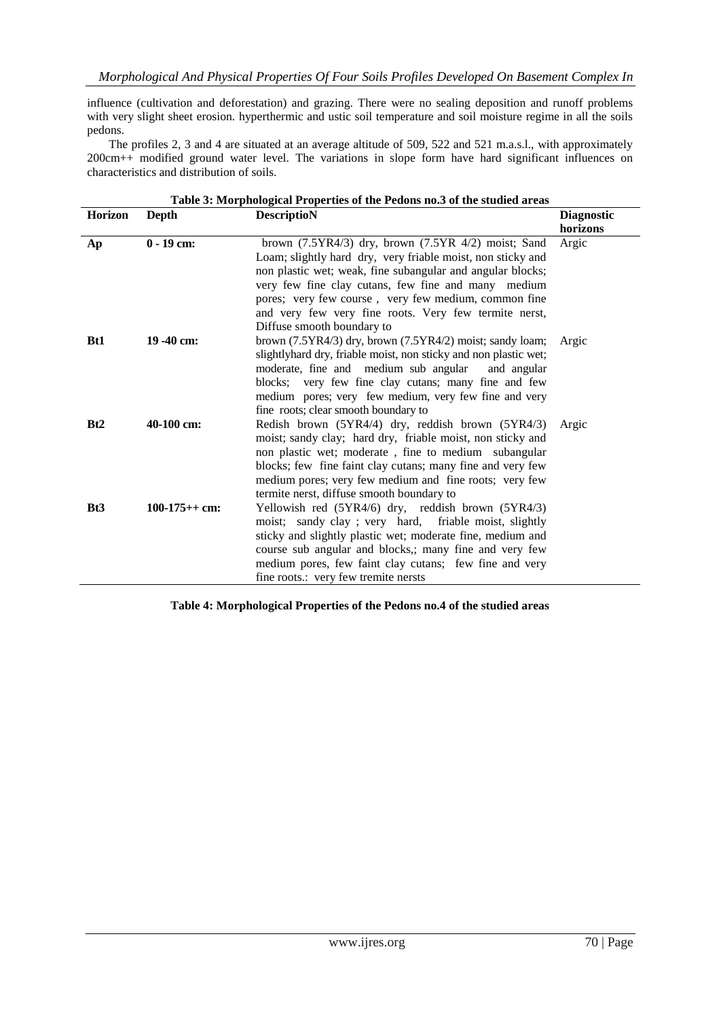influence (cultivation and deforestation) and grazing. There were no sealing deposition and runoff problems with very slight sheet erosion. hyperthermic and ustic soil temperature and soil moisture regime in all the soils pedons.

The profiles 2, 3 and 4 are situated at an average altitude of 509, 522 and 521 m.a.s.l., with approximately 200cm++ modified ground water level. The variations in slope form have hard significant influences on characteristics and distribution of soils.

| Table 3: Morphological Properties of the Pedons no.3 of the studied areas |                 |                                                                  |          |  |  |  |  |
|---------------------------------------------------------------------------|-----------------|------------------------------------------------------------------|----------|--|--|--|--|
| <b>Horizon</b>                                                            | <b>Depth</b>    | <b>DescriptioN</b><br><b>Diagnostic</b>                          |          |  |  |  |  |
|                                                                           |                 |                                                                  | horizons |  |  |  |  |
| Ap                                                                        | $0 - 19$ cm:    | brown $(7.5YR4/3)$ dry, brown $(7.5YR 4/2)$ moist; Sand          | Argic    |  |  |  |  |
|                                                                           |                 | Loam; slightly hard dry, very friable moist, non sticky and      |          |  |  |  |  |
|                                                                           |                 | non plastic wet; weak, fine subangular and angular blocks;       |          |  |  |  |  |
|                                                                           |                 | very few fine clay cutans, few fine and many medium              |          |  |  |  |  |
|                                                                           |                 | pores; very few course, very few medium, common fine             |          |  |  |  |  |
|                                                                           |                 | and very few very fine roots. Very few termite nerst,            |          |  |  |  |  |
|                                                                           |                 | Diffuse smooth boundary to                                       |          |  |  |  |  |
| <b>Bt1</b>                                                                | $19 - 40$ cm:   | brown $(7.5YR4/3)$ dry, brown $(7.5YR4/2)$ moist; sandy loam;    | Argic    |  |  |  |  |
|                                                                           |                 | slightlyhard dry, friable moist, non sticky and non plastic wet; |          |  |  |  |  |
|                                                                           |                 | moderate, fine and medium sub angular<br>and angular             |          |  |  |  |  |
|                                                                           |                 | blocks; very few fine clay cutans; many fine and few             |          |  |  |  |  |
|                                                                           |                 | medium pores; very few medium, very few fine and very            |          |  |  |  |  |
|                                                                           |                 | fine roots; clear smooth boundary to                             |          |  |  |  |  |
| Bt2                                                                       | 40-100 cm:      | Redish brown (5YR4/4) dry, reddish brown (5YR4/3)                | Argic    |  |  |  |  |
|                                                                           |                 | moist; sandy clay; hard dry, friable moist, non sticky and       |          |  |  |  |  |
|                                                                           |                 | non plastic wet; moderate, fine to medium subangular             |          |  |  |  |  |
|                                                                           |                 | blocks; few fine faint clay cutans; many fine and very few       |          |  |  |  |  |
|                                                                           |                 | medium pores; very few medium and fine roots; very few           |          |  |  |  |  |
|                                                                           |                 | termite nerst, diffuse smooth boundary to                        |          |  |  |  |  |
| Bt <sub>3</sub>                                                           | $100-175++$ cm: | Yellowish red (5YR4/6) dry, reddish brown (5YR4/3)               |          |  |  |  |  |
|                                                                           |                 | moist; sandy clay; very hard, friable moist, slightly            |          |  |  |  |  |
|                                                                           |                 | sticky and slightly plastic wet; moderate fine, medium and       |          |  |  |  |  |
|                                                                           |                 | course sub angular and blocks,; many fine and very few           |          |  |  |  |  |
|                                                                           |                 | medium pores, few faint clay cutans; few fine and very           |          |  |  |  |  |
|                                                                           |                 | fine roots.: very few tremite nersts                             |          |  |  |  |  |

**Table 4: Morphological Properties of the Pedons no.4 of the studied areas**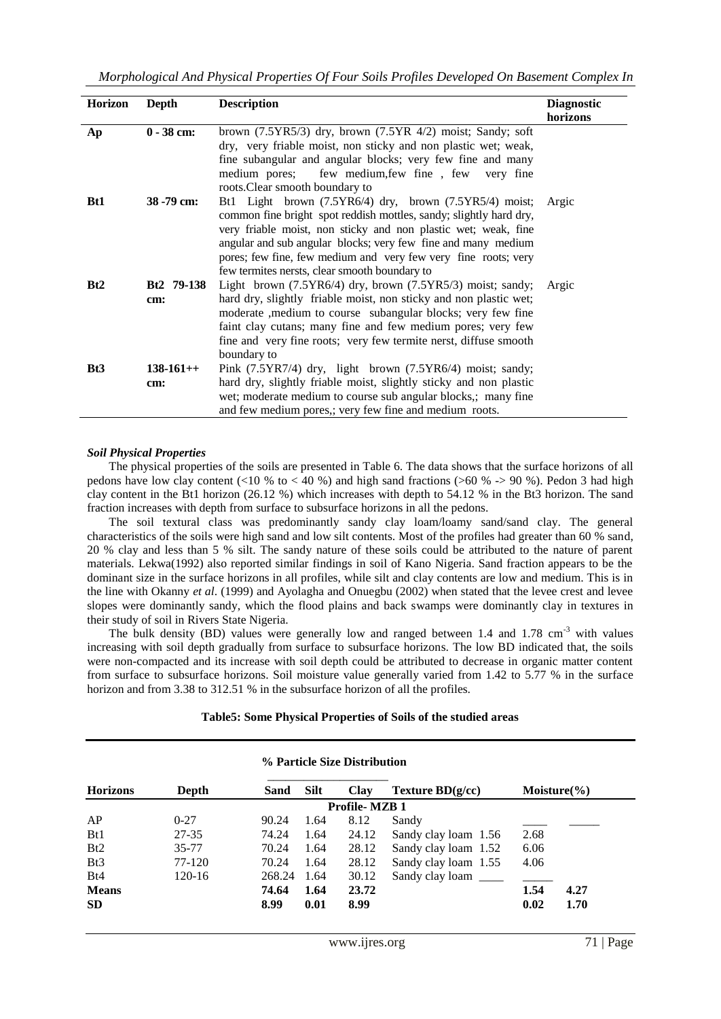| Horizon         | Depth              | <b>Description</b>                                                                                                                                                                                                                                                                                                                                                                  | <b>Diagnostic</b><br>horizons |
|-----------------|--------------------|-------------------------------------------------------------------------------------------------------------------------------------------------------------------------------------------------------------------------------------------------------------------------------------------------------------------------------------------------------------------------------------|-------------------------------|
| Ap              | $0 - 38$ cm:       | brown $(7.5YR5/3)$ dry, brown $(7.5YR 4/2)$ moist; Sandy; soft<br>dry, very friable moist, non sticky and non plastic wet; weak,<br>fine subangular and angular blocks; very few fine and many<br>medium pores; few medium, few fine, few very fine<br>roots. Clear smooth boundary to                                                                                              |                               |
| <b>Bt1</b>      | 38 - 79 cm:        | Bt1 Light brown (7.5YR6/4) dry, brown (7.5YR5/4) moist;<br>common fine bright spot reddish mottles, sandy; slightly hard dry,<br>very friable moist, non sticky and non plastic wet; weak, fine<br>angular and sub angular blocks; very few fine and many medium<br>pores; few fine, few medium and very few very fine roots; very<br>few termites nersts, clear smooth boundary to | Argic                         |
| Bt2             | Bt2 79-138<br>cm:  | Light brown $(7.5YR6/4)$ dry, brown $(7.5YR5/3)$ moist; sandy;<br>hard dry, slightly friable moist, non sticky and non plastic wet;<br>moderate , medium to course subangular blocks; very few fine<br>faint clay cutans; many fine and few medium pores; very few<br>fine and very fine roots; very few termite nerst, diffuse smooth<br>boundary to                               | Argic                         |
| Bt <sub>3</sub> | $138-161++$<br>cm: | Pink (7.5YR7/4) dry, light brown (7.5YR6/4) moist; sandy;<br>hard dry, slightly friable moist, slightly sticky and non plastic<br>wet; moderate medium to course sub angular blocks,; many fine<br>and few medium pores,; very few fine and medium roots.                                                                                                                           |                               |

#### *Soil Physical Properties*

The physical properties of the soils are presented in Table 6. The data shows that the surface horizons of all pedons have low clay content (<10 % to < 40 %) and high sand fractions (>60 % -> 90 %). Pedon 3 had high clay content in the Bt1 horizon (26.12 %) which increases with depth to 54.12 % in the Bt3 horizon. The sand fraction increases with depth from surface to subsurface horizons in all the pedons.

The soil textural class was predominantly sandy clay loam/loamy sand/sand clay. The general characteristics of the soils were high sand and low silt contents. Most of the profiles had greater than 60 % sand, 20 % clay and less than 5 % silt. The sandy nature of these soils could be attributed to the nature of parent materials. Lekwa(1992) also reported similar findings in soil of Kano Nigeria. Sand fraction appears to be the dominant size in the surface horizons in all profiles, while silt and clay contents are low and medium. This is in the line with Okanny *et al*. (1999) and Ayolagha and Onuegbu (2002) when stated that the levee crest and levee slopes were dominantly sandy, which the flood plains and back swamps were dominantly clay in textures in their study of soil in Rivers State Nigeria.

The bulk density (BD) values were generally low and ranged between 1.4 and 1.78 cm<sup>-3</sup> with values increasing with soil depth gradually from surface to subsurface horizons. The low BD indicated that, the soils were non-compacted and its increase with soil depth could be attributed to decrease in organic matter content from surface to subsurface horizons. Soil moisture value generally varied from 1.42 to 5.77 % in the surface horizon and from 3.38 to 312.51 % in the subsurface horizon of all the profiles.

#### **Table5: Some Physical Properties of Soils of the studied areas**

| % Particle Size Distribution |           |        |             |             |                      |                  |      |  |  |  |
|------------------------------|-----------|--------|-------------|-------------|----------------------|------------------|------|--|--|--|
| <b>Horizons</b>              | Depth     | Sand   | <b>Silt</b> | <b>Clay</b> | Texture $BD(g/cc)$   | Moisture $(\% )$ |      |  |  |  |
| <b>Profile-MZB1</b>          |           |        |             |             |                      |                  |      |  |  |  |
| AP                           | $0 - 27$  | 90.24  | 1.64        | 8.12        | Sandy                |                  |      |  |  |  |
| Bt1                          | $27 - 35$ | 74.24  | 1.64        | 24.12       | Sandy clay loam 1.56 | 2.68             |      |  |  |  |
| Bt2                          | 35-77     | 70.24  | 1.64        | 28.12       | Sandy clay loam 1.52 | 6.06             |      |  |  |  |
| Bt <sub>3</sub>              | 77-120    | 70.24  | 1.64        | 28.12       | Sandy clay loam 1.55 | 4.06             |      |  |  |  |
| Bt4                          | 120-16    | 268.24 | 1.64        | 30.12       | Sandy clay loam      |                  |      |  |  |  |
| <b>Means</b>                 |           | 74.64  | 1.64        | 23.72       |                      | 1.54             | 4.27 |  |  |  |
| <b>SD</b>                    |           | 8.99   | 0.01        | 8.99        |                      | 0.02             | 1.70 |  |  |  |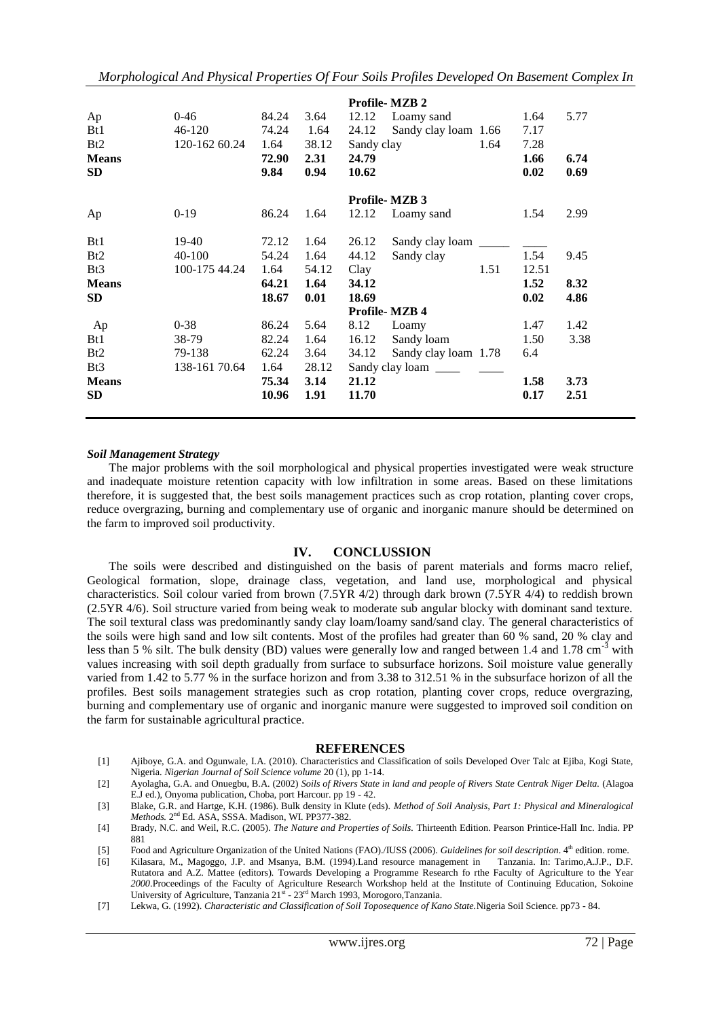*Morphological And Physical Properties Of Four Soils Profiles Developed On Basement Complex In* 

|                 |               |       |       |            | <b>Profile-MZB 2</b>                            |      |       |      |
|-----------------|---------------|-------|-------|------------|-------------------------------------------------|------|-------|------|
| Ap              | $0 - 46$      | 84.24 | 3.64  | 12.12      | Loamy sand                                      |      | 1.64  | 5.77 |
| Bt1             | $46 - 120$    | 74.24 | 1.64  | 24.12      | Sandy clay loam 1.66                            |      | 7.17  |      |
| Bt2             | 120-162 60.24 | 1.64  | 38.12 | Sandy clay |                                                 | 1.64 | 7.28  |      |
| <b>Means</b>    |               | 72.90 | 2.31  | 24.79      |                                                 |      | 1.66  | 6.74 |
| <b>SD</b>       |               | 9.84  | 0.94  | 10.62      |                                                 |      | 0.02  | 0.69 |
|                 |               |       |       |            | <b>Profile-MZB 3</b>                            |      |       |      |
| Ap              | $0-19$        | 86.24 | 1.64  | 12.12      | Loamy sand                                      |      | 1.54  | 2.99 |
| B <sub>t1</sub> | 19-40         | 72.12 | 1.64  | 26.12      | Sandy clay loam                                 |      |       |      |
| Bt2             | $40 - 100$    | 54.24 | 1.64  | 44.12      | Sandy clay                                      |      | 1.54  | 9.45 |
| Bt <sub>3</sub> | 100-175 44.24 | 1.64  | 54.12 | Clay       |                                                 | 1.51 | 12.51 |      |
| <b>Means</b>    |               | 64.21 | 1.64  | 34.12      |                                                 |      | 1.52  | 8.32 |
| <b>SD</b>       |               | 18.67 | 0.01  | 18.69      |                                                 |      | 0.02  | 4.86 |
|                 |               |       |       |            | <b>Profile-MZB4</b>                             |      |       |      |
| Ap              | $0 - 38$      | 86.24 | 5.64  | 8.12       | Loamy                                           |      | 1.47  | 1.42 |
| B <sub>t1</sub> | 38-79         | 82.24 | 1.64  | 16.12      | Sandy loam                                      |      | 1.50  | 3.38 |
| Bt2             | 79-138        | 62.24 | 3.64  | 34.12      | Sandy clay loam 1.78                            |      | 6.4   |      |
| Bt3             | 138-161 70.64 | 1.64  | 28.12 |            | Sandy clay loam $\frac{\ }{\ }$ $\frac{\ }{\ }$ |      |       |      |
| <b>Means</b>    |               | 75.34 | 3.14  | 21.12      |                                                 |      | 1.58  | 3.73 |
| <b>SD</b>       |               | 10.96 | 1.91  | 11.70      |                                                 |      | 0.17  | 2.51 |
|                 |               |       |       |            |                                                 |      |       |      |

#### *Soil Management Strategy*

The major problems with the soil morphological and physical properties investigated were weak structure and inadequate moisture retention capacity with low infiltration in some areas. Based on these limitations therefore, it is suggested that, the best soils management practices such as crop rotation, planting cover crops, reduce overgrazing, burning and complementary use of organic and inorganic manure should be determined on the farm to improved soil productivity.

### **IV. CONCLUSSION**

The soils were described and distinguished on the basis of parent materials and forms macro relief, Geological formation, slope, drainage class, vegetation, and land use, morphological and physical characteristics. Soil colour varied from brown (7.5YR 4/2) through dark brown (7.5YR 4/4) to reddish brown (2.5YR 4/6). Soil structure varied from being weak to moderate sub angular blocky with dominant sand texture. The soil textural class was predominantly sandy clay loam/loamy sand/sand clay. The general characteristics of the soils were high sand and low silt contents. Most of the profiles had greater than 60 % sand, 20 % clay and less than 5 % silt. The bulk density (BD) values were generally low and ranged between 1.4 and 1.78 cm<sup>-3</sup> with values increasing with soil depth gradually from surface to subsurface horizons. Soil moisture value generally varied from 1.42 to 5.77 % in the surface horizon and from 3.38 to 312.51 % in the subsurface horizon of all the profiles. Best soils management strategies such as crop rotation, planting cover crops, reduce overgrazing, burning and complementary use of organic and inorganic manure were suggested to improved soil condition on the farm for sustainable agricultural practice.

#### **REFERENCES**

[1] Ajiboye, G.A. and Ogunwale, I.A. (2010). Characteristics and Classification of soils Developed Over Talc at Ejiba, Kogi State, Nigeria. *Nigerian Journal of Soil Science volume* 20 (1), pp 1-14.

[2] Ayolagha, G.A. and Onuegbu, B.A. (2002) *Soils of Rivers State in land and people of Rivers State Centrak Niger Delta.* (Alagoa E.J ed.), Onyoma publication, Choba, port Harcour. pp 19 - 42.

[3] Blake, G.R. and Hartge, K.H. (1986). Bulk density in Klute (eds). *Method of Soil Analysis, Part 1: Physical and Mineralogical*  Methods. 2<sup>nd</sup> Ed. ASA, SSSA. Madison, WI. PP377-382.

- [4] Brady, N.C. and Weil, R.C. (2005). *The Nature and Properties of Soils.* Thirteenth Edition. Pearson Printice-Hall Inc. India. PP 881
- [5] Food and Agriculture Organization of the United Nations (FAO)./IUSS (2006). *Guidelines for soil description*. 4<sup>th</sup> edition. rome.

[6] Kilasara, M., Magoggo, J.P. and Msanya, B.M. (1994).Land resource management in Tanzania. In: Tarimo,A.J.P., D.F. Rutatora and A.Z. Mattee (editors)*.* Towards Developing a Programme Research fo rthe Faculty of Agriculture to the Year *2000*.Proceedings of the Faculty of Agriculture Research Workshop held at the Institute of Continuing Education, Sokoine University of Agriculture, Tanzania 21st - 23rd March 1993, Morogoro, Tanzania.

[7] Lekwa, G. (1992). *Characteristic and Classification of Soil Toposequence of Kano State.*Nigeria Soil Science. pp73 - 84.